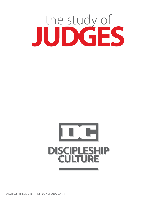



**DISCIPLESHIP CULTURE • THE STUDY OF JUDGES" • 1**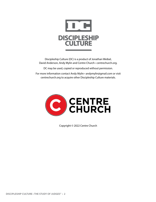

Discipleship Culture (DC) is a product of Jonathan Weibel, David Anderson, Andy Mylin and Centre Church • centrechurch.org.

DC may be used, copied or reproduced without permission.

For more information contact Andy Mylin • andymylin@gmail.com or visit centrechurch.org to acquire other Discipleship Culture materials.



Copyright © 2022 Centre Church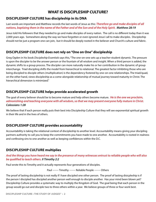### **WHAT IS DISCIPLESHIP CULTURE?**

### **DISCIPLESHIP CULTURE has discipleship in its DNA**

Last words are important and Matthew records the last words of Jesus as this: *Therefore go and make disciples of all nations, baptizing them in the name of the Father and of the Son and of the Holy Spirit. Matthew 28:19*

Jesus told His followers that they needed to go and make disciples of every nation. The call is no different today than it was 2,000 years ago. Somewhere along the way we have forgotten or even ignored Jesus' call to make disciples. Discipleship should not be just a program one can join, but it should be deeply rooted in the believer and Church's culture and fabric.

### **DISCIPLESHIP CULTURE does not rely on "One on One" discipleship**

Greg Ogden in his book *Discipleship Essentials* says this, "The one-on-one sets up a teacher-student dynamic. The pressure is upon the discipler to be the answer person or the fountain of all wisdom and insight. When a third person is added, the dynamic shifts to a group process. The discipler can more naturally make his or her contribution in the dynamic of group interchange. Triad discipling shifts the model from hierarchical to relational. The greatest factor inhibiting those who are being discipled to disciple others (multiplication) is the dependency fostered by one-on-one relationships. The triad/quad, on the other hand, views discipleship as a come-alongside relationship of mutual journey toward maturity in Christ. The hierarchical dimension is minimized."

### **DISCIPLESHIP CULTURE helps provide accelerated growth**

The goal of every believer should be to become mature and help others become mature. *He is the one we proclaim, admonishing and teaching everyone with all wisdom, so that we may present everyone fully mature in Christ. Colossians 1:28*

We believe that if each person really puts their best into Discipleship Culture that they will see exponential spiritual growth in their life and in the lives of others.

### **DISCIPLESHIP CULTURE provides accountability**

Accountability is taking the relational context of discipleship to another level. Accountability means giving your discipling partners authority to call you to keep the commitments you have made to one another. Accountability is rooted in realness and confessing sins to one another as well as keeping confidences within the D.C.

### **DISCIPLESHIP CULTURE multiplies**

### *And the things you have heard me say in the presence of many witnesses entrust to reliable people who will also be qualified to teach others. II Timothy 2:2*

Paul wrote this to Timothy and it actually represents four generations of disciples.

Paul ------- Timothy ------- Reliable People ------- Others

The proof of lasting discipleship is not really if I have discipled one other person. The proof of lasting disicpleship is if the person I discipled has discipled another person well enough to disciple another. Has your mind been blown yet? Discipleship Culture provides a systematic way to multiply the Kingdom of God. The goal being that each person in the group would go out and disciple two to three others within a year. We believe groups of three or four work best.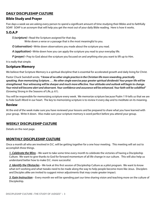### **DAILY DISCIPLESHIP CULTURE**

### **Bible Study and Prayer**

Five days a week we are asking every person to spend a significant amount of time studying their Bibles and to faithfully SOAP. SOAP is an acronym that will help you get the most out of your daily Bible reading. Here is how it works.

### **S.O.A.P**

*S (scripture)* • Read the Scripture assigned for that day.

Write down a verse or a passage that is the most meaningful to you.

*O (observation)* • Write down observations you made about the scripture you read.

*A (application)* • Write down how you can apply the scripture you read to your everyday life.

*P (prayer)* • Pray to God about the scripture you focused on and anything else you want to lift up to Him.

It is really that simple.

### **Scripture Memory**

We believe that Scripture Memory is a spiritual discipline that is essential for accelerated growth and daily living for Christ.

Pastor Chuck Swindoll wrote, *"I know of no other single practice in the Christian life more rewarding, practically speaking, than memorizing Scripture. . . . No other single exercise pays greater spiritual dividends! Your prayer life will be strengthened. Your witnessing will be sharper and much more effective. Your attitudes and outlook will begin to change. Your mind will become alert and observant. Your confidence and assurance will be enhanced. Your faith will be solidified"* (Growing Strong in the Seasons of Life, p. 61).

You will be responsible for memorizing scripture every week. We memorize scripture because Psalm 119 tells us that we are to hide God's Word in our heart. The key to memorizing scripture is to review it every day and to meditate on its meaning.

### **Review**

At the end of the week make sure you have reviewed your lessons and be prepared to share what you have learned with your group. Write it down. Also make sure your scripture memory is word perfect before you attend your group.

### **WEEKLY DISCIPLESHIP CULTURE**

Details on the next page.

### **MONTHLY DISCIPLESHIP CULTURE**

Once a month all who are involved in D.C. will be getting together for a one hour meeting. This meeting will set out to accomplish three things.

*1. Celebrate the Wins* – We want to take some time every month to celebrate the victories of having a Discipleship Culture. We want to give thanks to God for forward momentum of all life change in our culture. This will also help us understand better how to make D.C. more successful.

*2. Identify the Obstacles* – We look at this first session of Discipleship Culture as a pilot program. We want to know what isn't working and what tweaks need to be made along the way to help people become more like Jesus. Disciplers and Disciples alike are invited to suggest minor adjustments that may create greater impact.

*3. Gain Instruction* – Every month we will be spending part our time sharing vision and teaching more on the culture of Discipleship.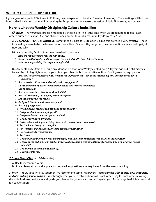### **WEEKLY DISCIPLESHIP CULTURE**

If you agree to be part of Discipleship Culture you are expected to be at all 8 weeks of meetings. The meetings will last one hour and will include accountability, reciting the Scripture memory verse, discussion of daily Bible study, and prayer.

### **Here is what the Weekly Discipleship Culture looks like:**

*1. Check In* – [*10 minutes*] Start each meeting by checking in. This is the time when we are reminded to bear each other's burdens (Galatians 6:2) and sharpen one another through accountability (Proverbs 27:17).

A. **JOY**, **ANGER**, **FEAR**, or **SADNESS**: Sometimes it is hard for us to open up, but this exercise is very effective. These four feelings seem to be the base emotions we all feel. Share with your group the core emotion you are feeling right now and why.

- B1. Accountability Option 1: Answer three basic questions
	- 1) *How are you protecting your life with purity?*
	- 2) *Share a win that you've had investing in the work of God? (Time, Talent, Treasure)*
	- 3) *How are you glorifying God in your thought life?*

B2. Accountability Option 2: This is an extensive list that John Wesley created over 200 years ago but is still practical today. Use it to highlight areas of your life as you check in but be sensitive of time. Don't go over every question.

- 1) *Am I consciously or unconsciously creating the impression that I am better than I really am? In other words, am I a hypocrite?*
- 2) *Am I honest in all my acts and words, or do I exaggerate?*
- 3) *Do I confidentially pass on to another what was told to me in confidence?*
- 4) *Can I be trusted?*
- 5) *Am I a slave to dress, friends, work, or habits?*
- 6) *Am I self-conscious, self-pitying, or self-justifying?*
- 7) *Did the Bible live in me today?*
- 8) *Do I give it time to speak to me everyday?*
- 9) *Am I enjoying prayer?*
- 10) *When did I last speak to someone else about my faith?*
- 11) *Do I pray about the money I spend?*
- 12) *Do I get to bed on time and get up on time?*
- 13) *Do I disobey God in anything?*
- 14) *Do I insist upon doing something about which my conscience is uneasy?*
- 15) *Am I defeated in any part of my life?*
- 16) *Am I jealous, impure, critical, irritable, touchy, or distrustful?*
- 17) *How do I spend my spare time?*
- 18) *Am I proud?*
- 19) *Do I thank God that I am not as other people, especially as the Pharisees who despised the publican?*
- 20) *Is there anyone whom I fear, dislike, disown, criticize, hold a resentment toward or disregard? If so, what am I doing about it?*
- 21) *Do I grumble or complain constantly?*
- 22) *Is Christ real to me?*

### *2. Share Your SOAP* – [*15-20 minutes*]

- A. Recite memorized verse.
- B. Share observations and applications (as well as questions you may have) from the week's reading.

*3. Pray* – [*15-20 minutes*] Pray together. We recommend using this prayer structure: *praise God, confess your sinfulness, and offer willing service to Him*. Pray through what you just talked about with each other. Pray for each other, allowing the Holy Spirit to convict you and guide you. Remember, you are all just talking with your Father together! It is a holy and fun conversation!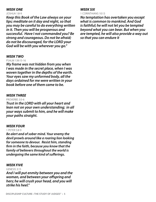### *WEEK ONE*

### JOSHUA 1:8-9

*Keep this Book of the Law always on your lips; meditate on it day and night, so that you may be careful to do everything written in it. Then you will be prosperous and successful. Have I not commanded you? Be strong and courageous. Do not be afraid; do not be discouraged, for the LORD your God will be with you wherever you go."*

### *WEEK TWO*

### PSALM 139:15-16

*My frame was not hidden from you when I was made in the secret place, when I was woven together in the depths of the earth. Your eyes saw my unformed body, all the days ordained for me were written in your book before one of them came to be.*

### *WEEK THREE*

PROVERBS 3:5-6

*Trust in the LORD with all your heart and lean not on your own understanding; in all your ways submit to him, and he will make your paths straight.*

### *WEEK FOUR*

### 1 PETER 5:8-9

*Be alert and of sober mind. Your enemy the devil prowls around like a roaring lion looking for someone to devour. Resist him, standing firm in the faith, because you know that the family of believers throughout the world is undergoing the same kind of sufferings.*

### *WEEK FIVE*

### GENESIS 3:15

*And I will put enmity between you and the woman, and between your offspring and hers; he will crush your head, and you will strike his heel."*

### *WEEK SIX*

1 CORINTHIANS 10:13

*No temptation has overtaken you except what is common to mankind. And God is faithful; he will not let you be tempted beyond what you can bear. But when you are tempted, he will also provide a way out so that you can endure it*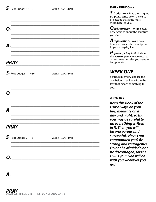| $\triangleright$ Read Judges 1:1-18   | WEEK 1 . DAY 1 . DATE           |
|---------------------------------------|---------------------------------|
| О.                                    |                                 |
| А.                                    |                                 |
|                                       |                                 |
| <b>PRAY</b>                           |                                 |
| $\mathsf{S}\cdot$ Read Judges 1:19-36 | WEEK 1 . DAY 2 . DATE           |
| О.                                    |                                 |
| А.                                    |                                 |
| <b>PRAY</b>                           |                                 |
| $S.$ Read Judges 2:1-15               | WEEK 1 . DAY 3 . DATE__________ |
| O                                     |                                 |
|                                       |                                 |

### **DAILY RUNDOWN:**

 $\boldsymbol{S}$  (scripture)  $\boldsymbol{\cdot}$  Read the assigned Scripture. Write down the verse or passage that is the most meaningful to you.

**O** (observation) · Write down<br>observations about the scripture vou read.

**A** (application)  $\cdot$  Write down how you can apply the scripture to your everyday life.

 $\boldsymbol{P}$  (prayer)  $\cdot$  Pray to God about the verse or passage you focused on and anything else you want to lift up to Him.

## **WEEK ONE**

Scripture Memory, choose the one below or pull one from the text that means something to you.

### Joshua 1:8-9

**Keep this Book of the** Law always on your lips; meditate on it day and night, so that you may be careful to do everything written in it. Then you will be prosperous and successful. Have I not commanded you? Be strong and courageous. Do not be afraid; do not be discouraged, for the **LORD your God will be** with you wherever you  $qo.''$ 

А.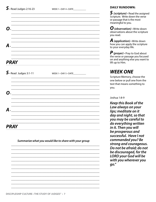| O                                    |                       |
|--------------------------------------|-----------------------|
|                                      |                       |
|                                      |                       |
|                                      |                       |
| $\boldsymbol{A}$ .                   |                       |
|                                      |                       |
|                                      |                       |
|                                      |                       |
| <b>PRAY</b>                          |                       |
|                                      |                       |
| $\mathsf{S}\cdot$ Read Judges 3:1-11 | WEEK 1 . DAY 5 . DATE |

# שי О. А. **PRAY**

Summarize what you would like to share with your group

### **DAILY RUNDOWN:**

 $\boldsymbol{S}$  (scripture)  $\boldsymbol{\cdot}$  Read the assigned Scripture. Write down the verse or passage that is the most meaningful to you.

 $\boldsymbol{O}$  (observation)  $\cdot$  Write down observations about the scripture vou read.

**A** (application)  $\cdot$  Write down how you can apply the scripture to your everyday life.

 $\boldsymbol{P}$  (prayer)  $\cdot$  Pray to God about the verse or passage you focused on and anything else you want to lift up to Him.

## **WEEK ONE**

Scripture Memory, choose the one below or pull one from the text that means something to you.

Joshua 1:8-9

**Keep this Book of the** Law always on your lips; meditate on it day and night, so that you may be careful to do everything written in it. Then you will be prosperous and successful. Have I not commanded you? Be strong and courageous. Do not be afraid; do not be discouraged, for the **LORD your God will be** with you wherever you  $qo.''$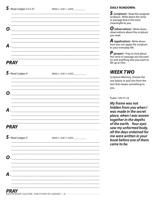WEEK 2 . DAY 1 . DATE

| WEEK 2 . DAY 2 . DATE             |
|-----------------------------------|
|                                   |
|                                   |
|                                   |
|                                   |
|                                   |
| WEEK 2 . DAY 3 . DATE____________ |
|                                   |
|                                   |
|                                   |
|                                   |
|                                   |
|                                   |

### **DAILY RUNDOWN:**

S (scripture) · Read the assigned<br>Scripture. Write down the verse or passage that is the most meaningful to you.

 $\boldsymbol{O}$  (observation)  $\cdot$  Write down observations about the scripture you read.

**A** (application)  $\cdot$  Write down how you can apply the scripture to your everyday life.

*P* (*prayer*) · Pray to God about<br>the verse or passage you focused on and anything else you want to lift up to Him.

## **WEEK TWO**

Scripture Memory, choose the one below or pull one from the text that means something to you.

Psalm 139:15-16

My frame was not hidden from you when I was made in the secret place, when I was woven together in the depths of the earth. Your eyes saw my unformed body, all the days ordained for me were written in your book before one of them came to be.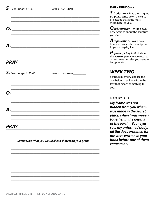WEEK 2 . DAY 4 . DATE

| $\boldsymbol{O}$ |  |  |  |
|------------------|--|--|--|
|                  |  |  |  |
|                  |  |  |  |
| $\mathcal{A}$ .  |  |  |  |
|                  |  |  |  |
| <b>PRAY</b>      |  |  |  |

| $\mathbf{\mathsf{S}}\cdot$ Read Judges 6: 33-40                            | WEEK 2 . DAY 5 . DATE____________ |  |
|----------------------------------------------------------------------------|-----------------------------------|--|
|                                                                            |                                   |  |
| $\Omega$<br><u> 1980 - Jan Berlin, margaret amerikan beste bisanleri (</u> |                                   |  |
|                                                                            |                                   |  |
| <u> 1980 - Jan Barbarat, martin a shekara 1980 - An</u>                    |                                   |  |
|                                                                            |                                   |  |
| <b>PRAY</b>                                                                |                                   |  |

Summarize what you would like to share with your group

### **DAILY RUNDOWN:**

 $\boldsymbol{S}$  (scripture)  $\boldsymbol{\cdot}$  Read the assigned Scripture. Write down the verse or passage that is the most meaningful to you.

 $\boldsymbol{O}$  (observation)  $\cdot$  Write down observations about the scripture you read.

**A** (application)  $\cdot$  Write down how you can apply the scripture to your everyday life.

 $\boldsymbol{P}$  (prayer)  $\cdot$  Pray to God about the verse or passage you focused on and anything else you want to lift up to Him.

## **WEEK TWO**

Scripture Memory, choose the one below or pull one from the text that means something to you.

Psalm 139:15-16

My frame was not hidden from you when I was made in the secret place, when I was woven together in the depths of the earth. Your eyes saw my unformed body, all the days ordained for me were written in your book before one of them came to be.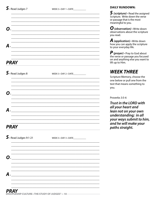| О. |                                              |                                   |  |
|----|----------------------------------------------|-----------------------------------|--|
| А. |                                              |                                   |  |
|    | <b>PRAY</b>                                  |                                   |  |
|    | $\boldsymbol{\mathsf{S}}\cdot$ Read Judges 8 | WEEK 3 . DAY 2 . DATE____________ |  |
| Ο. |                                              |                                   |  |
| А. |                                              |                                   |  |
|    | <i><b>PRAY</b></i>                           |                                   |  |
|    | $S.$ Read Judges 9:1-21                      | WEEK 3 . DAY 3 . DATE____________ |  |
| О. |                                              |                                   |  |
| Д  |                                              |                                   |  |

 $S$  (scripture)  $\cdot$  Read the assigned Scripture. Write down the verse or passage that is the most meaningful to you.

 $\boldsymbol{O}$  (observation)  $\cdot$  Write down<br>observations about the scripture you read.

**A** (application)  $\cdot$  Write down how you can apply the scripture to your everyday life.

 $\boldsymbol{P}$  (prayer)  $\cdot$  Pray to God about<br>the verse or passage you focused on and anything else you want to lift up to Him.

## **WEEK THREE**

Scripture Memory, choose the one below or pull one from the text that means something to you.

Proverbs 3:5-6

Trust in the LORD with all your heart and lean not on your own understanding; in all your ways submit to him, and he will make your paths straight.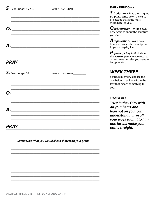WEEK 3 . DAY 4 . DATE

| Ω.                    |  |
|-----------------------|--|
|                       |  |
|                       |  |
|                       |  |
| $\boldsymbol{A}$ .    |  |
|                       |  |
|                       |  |
|                       |  |
| <b>PRAY</b>           |  |
|                       |  |
| $\int$ Read Judges 10 |  |
|                       |  |
|                       |  |

### **DAILY RUNDOWN:**

 $\boldsymbol{S}$  (scripture)  $\boldsymbol{\cdot}$  Read the assigned Scripture. Write down the verse or passage that is the most meaningful to you.

 $\boldsymbol{O}$  (observation)  $\cdot$  Write down observations about the scripture vou read.

**A** (application)  $\cdot$  Write down how you can apply the scripture to your everyday life.

 $\boldsymbol{P}$  (prayer)  $\cdot$  Pray to God about the verse or passage you focused on and anything else you want to lift up to Him.

## **WEEK THREE**

Scripture Memory, choose the one below or pull one from the text that means something to you.

Proverbs 3:5-6

Trust in the LORD with all your heart and lean not on your own understanding; in all your ways submit to him, and he will make your paths straight.

**O**.  $\boldsymbol{A}$  . The contract of the contract of the contract of the contract of the contract of the contract of the contract of the contract of the contract of the contract of the contract of the contract of the contract of th **PRAY** 

Summarize what you would like to share with your group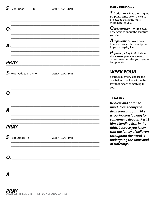| О.                                            |                                   |
|-----------------------------------------------|-----------------------------------|
| $\boldsymbol{A}$ .                            |                                   |
| <b>PRAY</b>                                   |                                   |
| $S.\$ Read Judges 11:29-40                    | WEEK 4 . DAY 2 . DATE             |
| О.                                            |                                   |
| А.                                            |                                   |
| PRAY                                          |                                   |
| $\boldsymbol{\mathsf{S}}\cdot$ Read Judges 12 | WEEK 4 . DAY 3 . DATE____________ |
|                                               |                                   |
|                                               |                                   |

### **DAILY RUNDOWN:**

 $S$  (scripture)  $\cdot$  Read the assigned Scripture. Write down the verse or passage that is the most meaningful to you.

 $\boldsymbol{O}$  (observation)  $\cdot$  Write down<br>observations about the scripture you read.

**A** (application)  $\cdot$  Write down how you can apply the scripture to your everyday life.

*P* (*prayer*) · Pray to God about<br>the verse or passage you focused on and anything else you want to lift up to Him.

## **WEEK FOUR**

Scripture Memory, choose the one below or pull one from the text that means something to you.

### 1 Peter 5:8-9

Be alert and of sober mind. Your enemy the devil prowls around like a roaring lion looking for someone to devour. Resist him, standing firm in the faith, because you know that the family of believers throughout the world is undergoing the same kind of sufferings.

 $A_{\cdot\_\_}$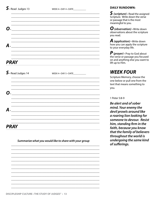А.

**PRAY** 

WEEK  $4 \cdot$  DAY  $4 \cdot$  DATE

| <u> 1989 - Johann Barn, mars ann an t-Amhain ann an t-Amhain an t-Amhain an t-Amhain an t-Amhain an t-Amhain an t-</u> |
|------------------------------------------------------------------------------------------------------------------------|
|                                                                                                                        |
|                                                                                                                        |
|                                                                                                                        |
|                                                                                                                        |
|                                                                                                                        |
|                                                                                                                        |
|                                                                                                                        |
|                                                                                                                        |
|                                                                                                                        |
| WEEK 4 . DAY 5 . DATE                                                                                                  |
|                                                                                                                        |
|                                                                                                                        |
|                                                                                                                        |
|                                                                                                                        |
|                                                                                                                        |
|                                                                                                                        |

### Summarize what you would like to share with your group

### **DAILY RUNDOWN:**

 $\boldsymbol{S}$  (scripture)  $\boldsymbol{\cdot}$  Read the assigned Scripture. Write down the verse or passage that is the most meaningful to you.

 $\boldsymbol{O}$  (observation)  $\cdot$  Write down observations about the scripture you read.

**A** (application)  $\cdot$  Write down how you can apply the scripture to your everyday life.

*P* (*prayer*) · Pray to God about<br>the verse or passage you focused on and anything else you want to lift up to Him.

### **WEEK FOUR**

Scripture Memory, choose the one below or pull one from the text that means something to you.

#### 1 Peter 5:8-9

Be alert and of sober mind. Your enemy the devil prowls around like a roaring lion looking for someone to devour. Resist him, standing firm in the faith, because you know that the family of believers throughout the world is undergoing the same kind of sufferings.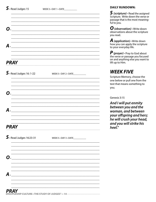| О.                        |                                   |
|---------------------------|-----------------------------------|
| $\boldsymbol{A}$ .        |                                   |
| <b>PRAY</b>               |                                   |
| $S.$ Read Judges 16: 1-22 | WEEK 5 . DAY 2 . DATE             |
| О.                        |                                   |
| А.                        |                                   |
| <b>PRAY</b>               |                                   |
| $S.$ Read Judges 16:23-31 | $WEEK 5 \cdot$ DAY 3 $\cdot$ DATE |
| О.                        |                                   |
| Д                         |                                   |

### **DAILY RUNDOWN:**

 $S$  (scripture)  $\cdot$  Read the assigned Scripture. Write down the verse or passage that is the most meaningful to you.

 $\boldsymbol{O}$  (observation)  $\cdot$  Write down<br>observations about the scripture you read.

**A** (application)  $\cdot$  Write down how you can apply the scripture to your everyday life.

*P* (*prayer*) · Pray to God about<br>the verse or passage you focused on and anything else you want to lift up to Him.

## **WEEK FIVE**

Scripture Memory, choose the one below or pull one from the text that means something to you.

### Genesis 3:15

And I will put enmity between you and the woman, and between your offspring and hers; he will crush your head, and you will strike his heel."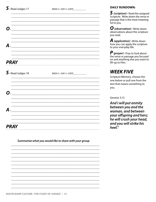**PRAY** 

WEEK 5 . DAY 4 . DATE

| О.                                            |  |
|-----------------------------------------------|--|
|                                               |  |
|                                               |  |
|                                               |  |
| $\boldsymbol{A}$ .                            |  |
|                                               |  |
|                                               |  |
|                                               |  |
| <b>PRAY</b>                                   |  |
| $\boldsymbol{\mathsf{S}}\cdot$ Read Judges 18 |  |
|                                               |  |
|                                               |  |
|                                               |  |
| $\Omega$                                      |  |
|                                               |  |
|                                               |  |
|                                               |  |

**DAILY RUNDOWN:** 

 $\boldsymbol{S}$  (scripture)  $\boldsymbol{\cdot}$  Read the assigned Scripture. Write down the verse or passage that is the most meaningful to you.

 $\boldsymbol{O}$  (observation)  $\cdot$  Write down observations about the scripture you read.

**A** (application)  $\cdot$  Write down how you can apply the scripture to your everyday life.

 $\boldsymbol{P}$  (prayer)  $\cdot$  Pray to God about the verse or passage you focused on and anything else you want to lift up to Him.

## **WEEK FIVE**

Scripture Memory, choose the one below or pull one from the text that means something to you.

Genesis 3:15

And I will put enmity between you and the woman, and between your offspring and hers; he will crush your head, and you will strike his heel."

Summarize what you would like to share with your group

 $\boldsymbol{A}$  . The contract of  $\boldsymbol{A}$  is a set of  $\boldsymbol{A}$  is a set of  $\boldsymbol{A}$  is a set of  $\boldsymbol{A}$  is a set of  $\boldsymbol{A}$  is a set of  $\boldsymbol{A}$  is a set of  $\boldsymbol{A}$  is a set of  $\boldsymbol{A}$  is a set of  $\boldsymbol{A}$  is a set of  $\boldsymbol{$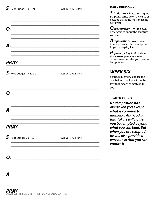WEEK 6 . DAY 1 . DATE

| О.                        |                                   |
|---------------------------|-----------------------------------|
| $\boldsymbol{A}$ .        |                                   |
| <b>PRAY</b>               |                                   |
| $S.$ Read Judges 19:22-30 | WEEK 6 . DAY 2 . DATE             |
| О.                        |                                   |
| А.                        |                                   |
| <b>PRAY</b>               |                                   |
| $S.$ Read Judges 20:1-23  | WEEK 6 . DAY 3 . DATE____________ |
| О.                        |                                   |
| A                         |                                   |
|                           |                                   |

### **DAILY RUNDOWN:**

 $S$  (scripture)  $\cdot$  Read the assigned Scripture. Write down the verse or passage that is the most meaningful to you.

**O** (observation)  $\cdot$  Write down observations about the scripture you read.

**A** (application)  $\cdot$  Write down how you can apply the scripture to your everyday life.

 $\boldsymbol{P}$  (prayer)  $\cdot$  Pray to God about the verse or passage you focused on and anything else you want to lift up to Him.

## **WEEK SIX**

Scripture Memory, choose the one below or pull one from the text that means something to you.

1 Corinthians 10:13

No temptation has overtaken you except what is common to mankind, And God is faithful; he will not let you be tempted beyond what you can bear. But when you are tempted, he will also provide a way out so that you can endure it